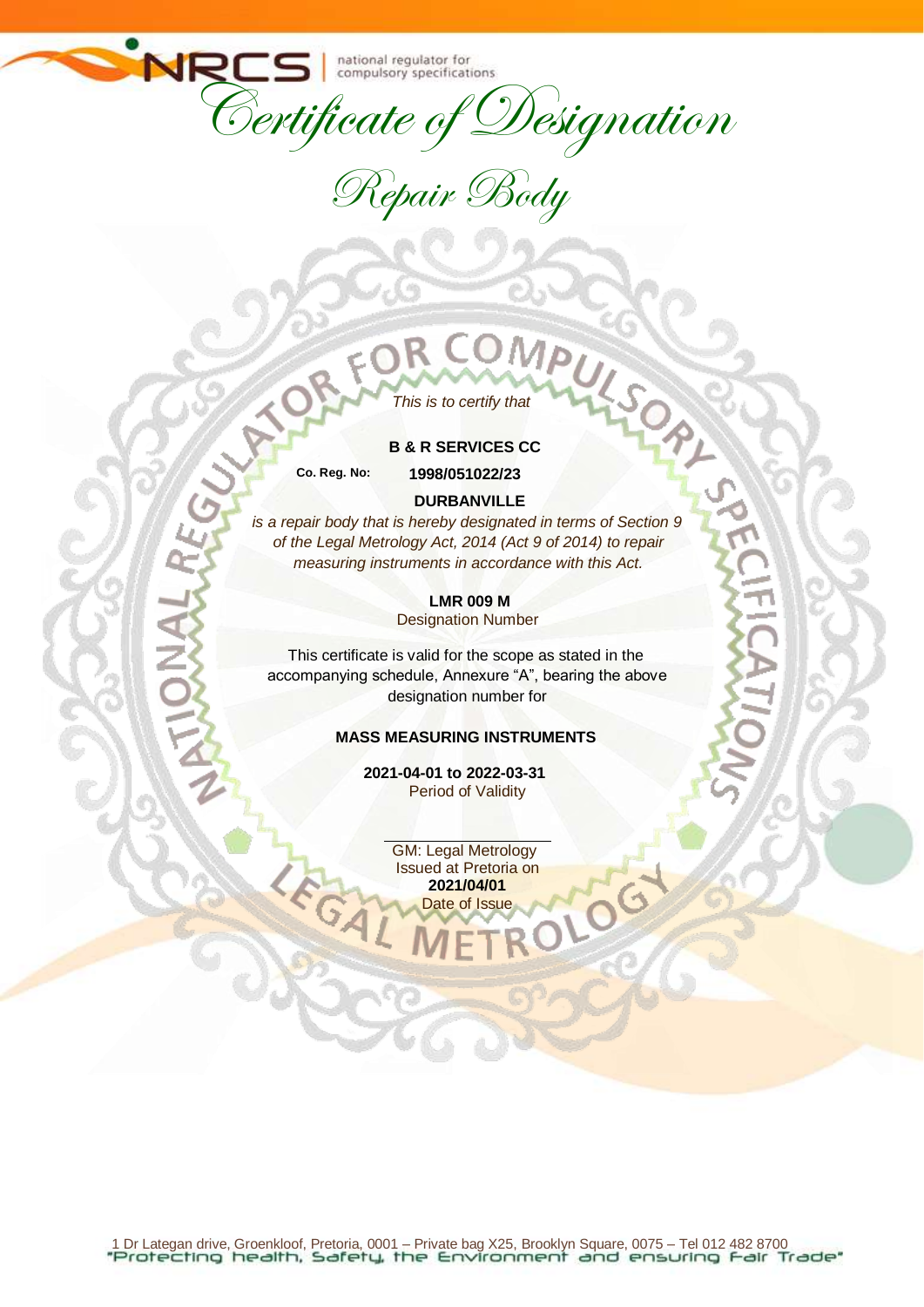NF

Certificate of Designation

Repair Body

# *This is to certify that*

#### **B & R SERVICES CC**

**Co. Reg. No: 1998/051022/23**

#### **DURBANVILLE**

*is a repair body that is hereby designated in terms of Section 9 of the Legal Metrology Act, 2014 (Act 9 of 2014) to repair measuring instruments in accordance with this Act.*

> **LMR 009 M**  Designation Number

This certificate is valid for the scope as stated in the accompanying schedule, Annexure "A", bearing the above designation number for

### **MASS MEASURING INSTRUMENTS**

**2021-04-01 to 2022-03-31** Period of Validity

> GM: Legal Metrology Issued at Pretoria on **2021/04/01** Date of Issue

10G

1 Dr Lategan drive, Groenkloof, Pretoria, 0001 – Private bag X25, Brooklyn Square, 0075 – Tel 012 482 8700<br>"Protecting health, Safety, the Environment and ensuring Fair Trade"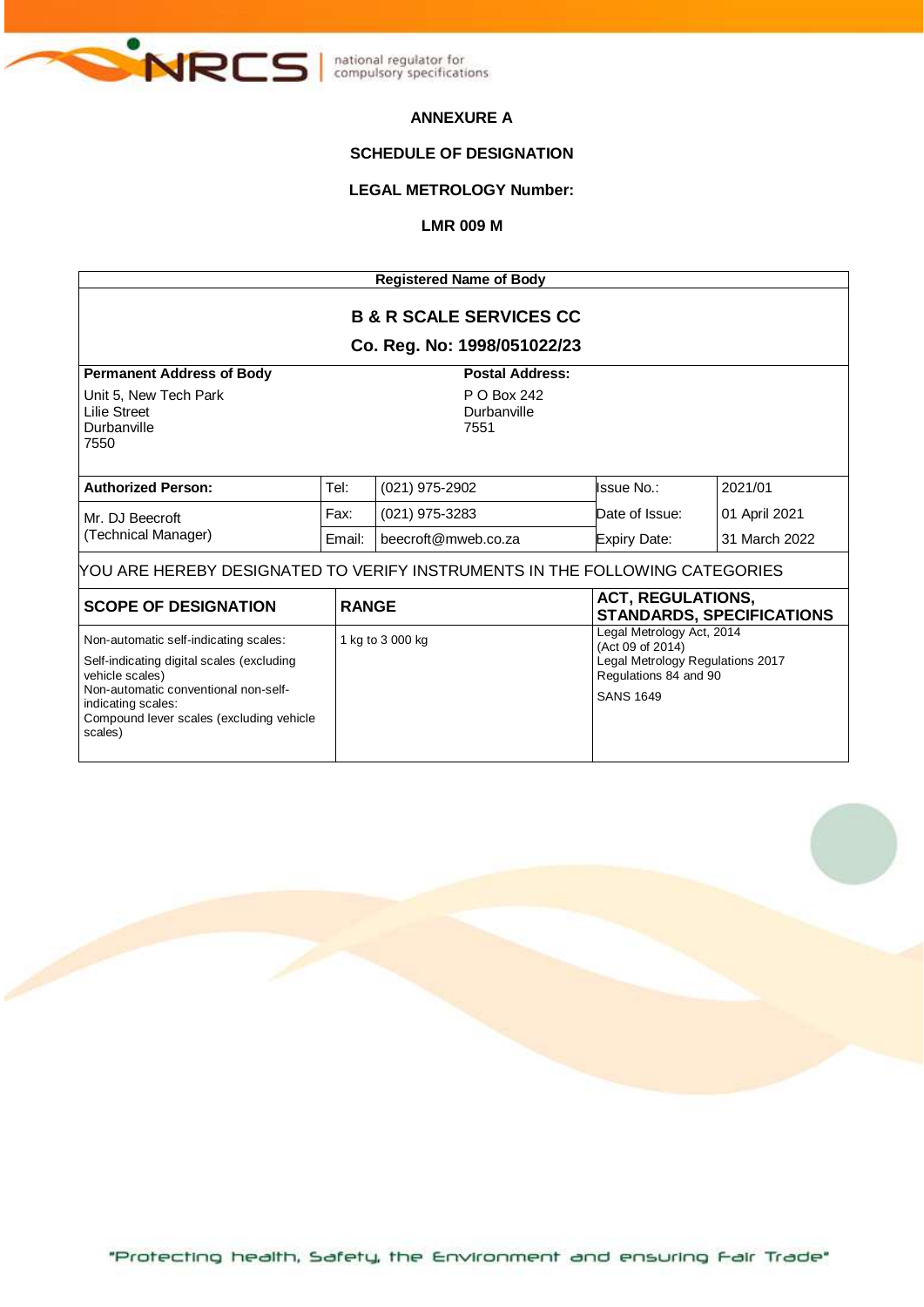

### **ANNEXURE A**

### **SCHEDULE OF DESIGNATION**

# **LEGAL METROLOGY Number:**

#### **LMR 009 M**

| <b>Registered Name of Body</b>                                                                                                                                                                                             |        |                                                              |                                                                                                                                |                                  |  |  |  |
|----------------------------------------------------------------------------------------------------------------------------------------------------------------------------------------------------------------------------|--------|--------------------------------------------------------------|--------------------------------------------------------------------------------------------------------------------------------|----------------------------------|--|--|--|
| <b>B &amp; R SCALE SERVICES CC</b><br>Co. Reg. No: 1998/051022/23                                                                                                                                                          |        |                                                              |                                                                                                                                |                                  |  |  |  |
| <b>Permanent Address of Body</b><br>Unit 5, New Tech Park<br>Lilie Street<br>Durbanville                                                                                                                                   |        | <b>Postal Address:</b><br>P O Box 242<br>Durbanville<br>7551 |                                                                                                                                |                                  |  |  |  |
| 7550                                                                                                                                                                                                                       |        |                                                              |                                                                                                                                |                                  |  |  |  |
| <b>Authorized Person:</b>                                                                                                                                                                                                  | Tel:   | $(021)$ 975-2902                                             | lssue No.:                                                                                                                     | 2021/01                          |  |  |  |
| Mr. DJ Beecroft<br>(Technical Manager)                                                                                                                                                                                     | Fax:   | $(021)$ 975-3283                                             | Date of Issue:                                                                                                                 | 01 April 2021                    |  |  |  |
|                                                                                                                                                                                                                            | Email: | beecroft@mweb.co.za                                          | <b>Expiry Date:</b>                                                                                                            | 31 March 2022                    |  |  |  |
| YOU ARE HEREBY DESIGNATED TO VERIFY INSTRUMENTS IN THE FOLLOWING CATEGORIES                                                                                                                                                |        |                                                              |                                                                                                                                |                                  |  |  |  |
| <b>SCOPE OF DESIGNATION</b>                                                                                                                                                                                                |        | <b>RANGE</b>                                                 | <b>ACT, REGULATIONS,</b>                                                                                                       | <b>STANDARDS, SPECIFICATIONS</b> |  |  |  |
| Non-automatic self-indicating scales:<br>Self-indicating digital scales (excluding<br>vehicle scales)<br>Non-automatic conventional non-self-<br>indicating scales:<br>Compound lever scales (excluding vehicle<br>scales) |        | 1 kg to 3 000 kg                                             | Legal Metrology Act, 2014<br>(Act 09 of 2014)<br>Legal Metrology Regulations 2017<br>Regulations 84 and 90<br><b>SANS 1649</b> |                                  |  |  |  |

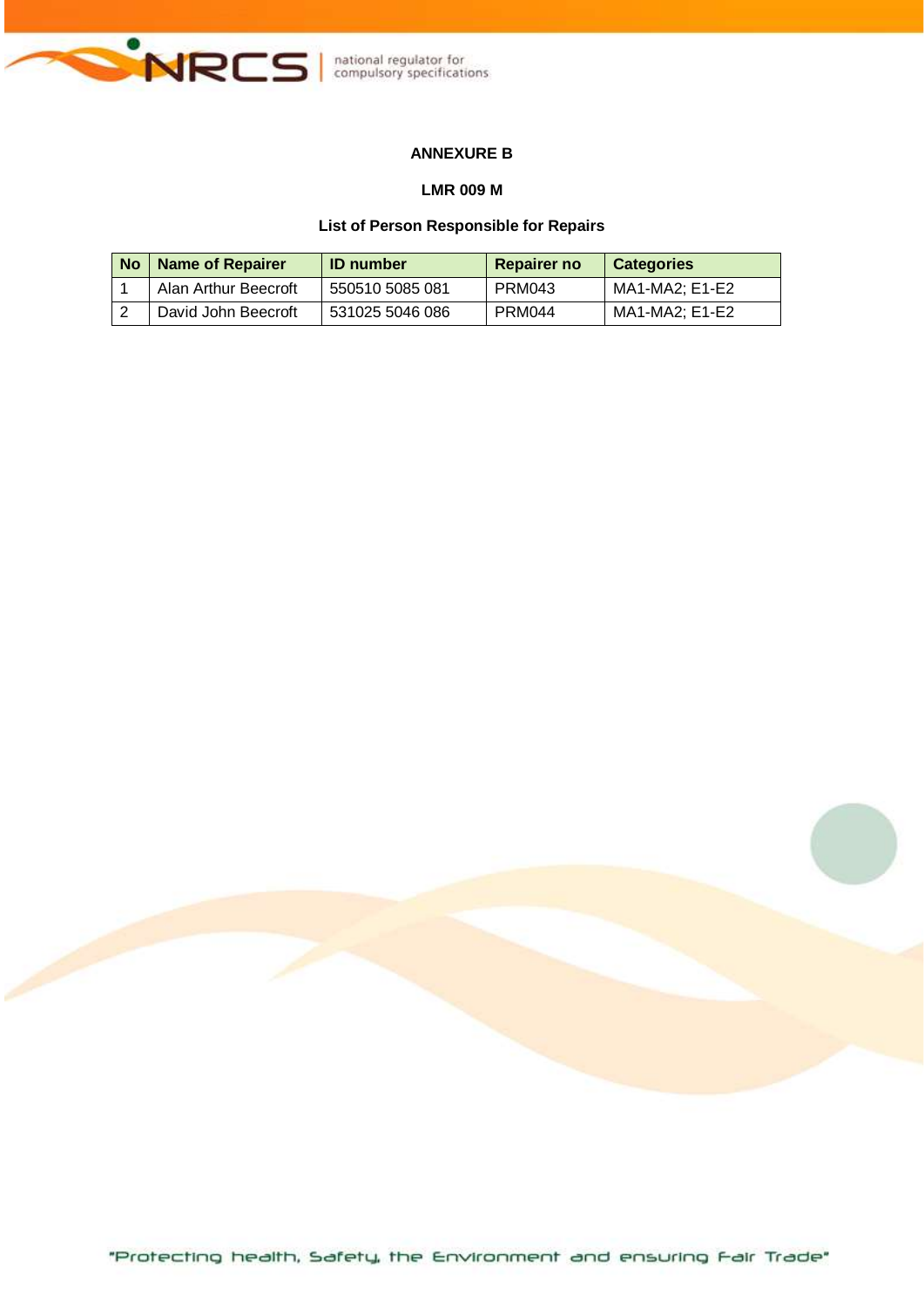

# **ANNEXURE B**

#### **LMR 009 M**

#### **List of Person Responsible for Repairs**

| No | <b>Name of Repairer</b> | <b>ID</b> number | <b>Repairer no</b> | Categories     |
|----|-------------------------|------------------|--------------------|----------------|
|    | Alan Arthur Beecroft    | 550510 5085 081  | PRM043             | MA1-MA2: E1-E2 |
|    | David John Beecroft     | 531025 5046 086  | PRM044             | MA1-MA2: E1-E2 |